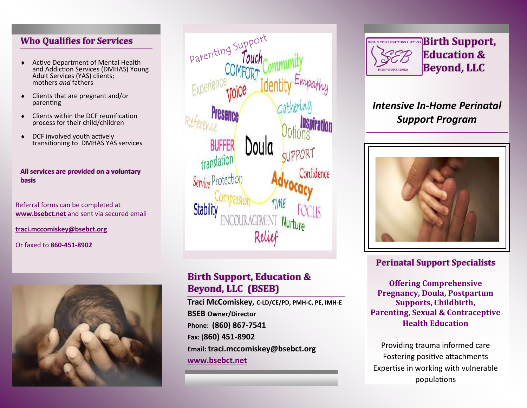### **Who Qualifies for Services**

- Active Department of Mental Health and Addiction Services (DMHAS) Young Adult Services (YAS) clients; mothers *and* fathers
- Clients that are pregnant and/or parenting
- Clients within the DCF reunification process for their child/children
- ◆ DCF involved youth actively transitioning to DMHAS YAS services

#### **All services are provided on a voluntary basis**

Referral forms can be completed at **www.bsebct.net** and sent via secured email

**traci.mccomiskey@bsebct.org**

Or faxed to **860-451-8902** 





## **Birth Support, Education & Beyond, LLC (BSEB)**

**Traci McComiskey, C-LD/CE/PD, PMH-C, PE, IMH-E BSEB Owner/Director Phone: (860) 867-7541 Fax: (860) 451-8902 Email: traci.mccomiskey@bsebct.org www.bsebct.net**



# *Intensive In-Home Perinatal Support Program*



## **Perinatal Support Specialists**

**Offering Comprehensive Pregnancy, Doula, Postpartum Supports, Childbirth, Parenting, Sexual & Contraceptive Health Education**

Providing trauma informed care Fostering positive attachments Expertise in working with vulnerable populations